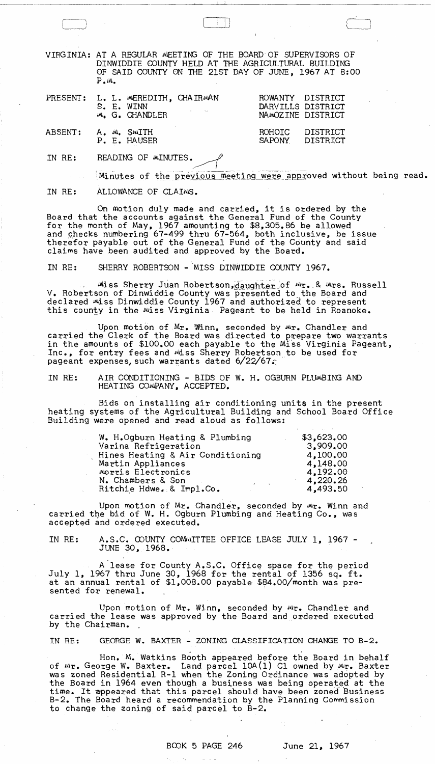VIRGINIA: AT A REGULAR WEETING OF THE BOARD OF SUPERVISORS OF DINWIDDIE COUNTY HELD AT THE AGRICULTURAL BUILDING OF SAID COUNTY ON THE 21ST DAY OF JUNE, 1967 AT 8:00  $P \cdot w$ .

|                     |  | PRESENT: L. L. WEREDITH, CHAIRWAN<br>S. E. WINN<br>W. G. CHANDLER | ROWANTY DISTRICT<br>DARVILLS DISTRICT<br>NAMOZINE DISTRICT |  |
|---------------------|--|-------------------------------------------------------------------|------------------------------------------------------------|--|
| ABSENT: A. M. SMITH |  | P. E. HAUSER                                                      | ROHOIC DISTRICT<br>SAPONY DISTRICT                         |  |

IN RE: READING OF MINUTES.

Minutes of the previous meeting were approved without being read.

 $\qquad \qquad \qquad \qquad$ 

 $\overbrace{\phantom{aaaaa}}^{\phantom{aaaaa}}$ 

I,

IN RE: ALLOWANCE OF CLAIMS.

On motion duly made and carried, it is ordered by the Board that the accounts against the General Fund of the County for the month of May, 1967 amounting to \$8,305.86 be allowed and checks numbering 67-499 thru 67-564, both inclusive, be issue therefor payable out of the General Fund of the County and said claims have been audited and approved by the Board.

IN RE: SHERRY ROBERTSON - MISS DINWIDDIE COUNTY 1967.

Miss Sherry Juan Robertson, daughter of Mr. & Mrs. Russell V. Robertson of Dinwiddie County was presented to the Board and declared miss Dinwiddie County 1967 and authorized to represent<br>this county in the Miss Virginia Pageant to be held in Roanoke.

Upon motion of Mr. Winn, seconded by Mr. Chandler and carried the Clerk of the Board was directed to prepare two warrants in the amounts of \$100.00 each payable to the Miss Virginia Pageant, Inc., for entry fees and miss Sherry Robertson to be used for pageant expenses, such warrants dated  $6/22/67$ 

IN RE: AIR CONDITIONING - BIDS OF W. H. OGBURN PLUMBING AND HEAT ING COMPANY, ACCEPTED.

Bids on installing air conditioning units in the present heating systems of the AgricultUral Building and School Board Office Building were opened and read aloud as follows:

| W. H.Ogburn Heating & Plumbing                 | \$3,623,00 |
|------------------------------------------------|------------|
| Varina Refrigeration                           | 3,909.00   |
| Hines Heating & Air Conditioning               | 4,100.00   |
| Martin Appliances                              | 4,148.00   |
| Morris Electronics                             | 4.192.00   |
| N. Chambers & Son<br>$\epsilon$ and $\epsilon$ | 4,220.26   |
| Ritchie Hdwe. & Impl.Co.                       | 4,493,50   |

Upon motion of Mr. Chandler, seconded by Wr. Winn and carried the bid of W. H. Ogburn Plumbing and Heating Co., was accepted and ordered executed.

IN RE: A.S.C. COUNTY COMMITTEE OFFICE LEASE JULY 1, 1967 -<br>JUNE 30, 1968.

A lease for County A.S.C. Office space for the period<br>July 1, 1967 thru June 30, 1968 for the rental of 1356 sq. ft. at an annual rental of \$1,008.00 payable \$84.00/month was pre-<br>sented for renewal.

Upon motion of Mr. Winn, seconded by mr. Chandler and carried the lease was approved by the Board and ordered executed by the Chairman.

IN RE: GEORGE W. BAXTER - ZONING CLASSIFICATION CHANGE TO B-2.

o establecentra de la construcción de la construcción de la construcción de la construcción de la construcción Hon. M. Watkins Booth appeared before the Board in behalf of Mr. George W. Baxter. Land parcel 10A(1) Clowned by Mr. Baxter was zoned Residential R-1 when the Zoning Ordinance was adopted by the Board in 1964 even though a business was being operated at the time. It appeared that this parcel should have been zoned Business B-2. The Board heard a recommendation by the Planning Commission to change the zoning of said parcel to B-2.

 $\langle\sigma_{\rm eff}\rangle$